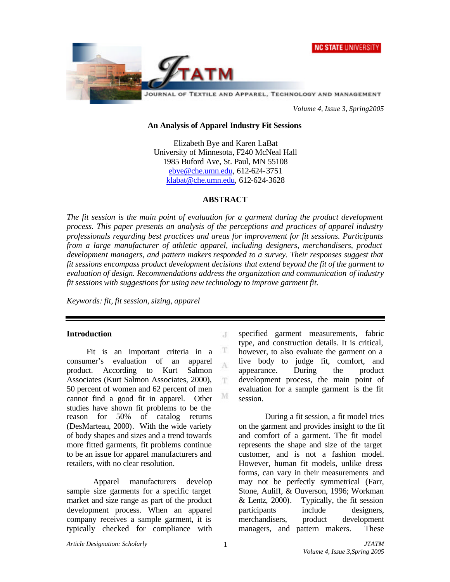



*Volume 4, Issue 3, Spring2005*

### **An Analysis of Apparel Industry Fit Sessions**

Elizabeth Bye and Karen LaBat University of Minnesota, F240 McNeal Hall 1985 Buford Ave, St. Paul, MN 55108 ebye@che.umn.edu, 612-624-3751 klabat@che.umn.edu, 612-624-3628

### **ABSTRACT**

*The fit session is the main point of evaluation for a garment during the product development process. This paper presents an analysis of the perceptions and practices of apparel industry professionals regarding best practices and areas for improvement for fit sessions. Participants from a large manufacturer of athletic apparel, including designers, merchandisers, product development managers, and pattern makers responded to a survey. Their responses suggest that fit sessions encompass product development decisions that extend beyond the fit of the garment to evaluation of design. Recommendations address the organization and communication of industry fit sessions with suggestions for using new technology to improve garment fit.*

 $\mathcal{X}$ 

T A

T.

M

*Keywords: fit, fit session, sizing, apparel*

### **Introduction**

Fit is an important criteria in a consumer's evaluation of an apparel product. According to Kurt Salmon Associates (Kurt Salmon Associates, 2000), 50 percent of women and 62 percent of men cannot find a good fit in apparel. Other studies have shown fit problems to be the reason for 50% of catalog returns (DesMarteau, 2000). With the wide variety of body shapes and sizes and a trend towards more fitted garments, fit problems continue to be an issue for apparel manufacturers and retailers, with no clear resolution.

Apparel manufacturers develop sample size garments for a specific target market and size range as part of the product development process. When an apparel company receives a sample garment, it is typically checked for compliance with

specified garment measurements, fabric type, and construction details. It is critical, however, to also evaluate the garment on a live body to judge fit, comfort, and appearance. During the product development process, the main point of evaluation for a sample garment is the fit session.

During a fit session, a fit model tries on the garment and provides insight to the fit and comfort of a garment. The fit model represents the shape and size of the target customer, and is not a fashion model. However, human fit models, unlike dress forms, can vary in their measurements and may not be perfectly symmetrical (Farr, Stone, Auliff, & Ouverson, 1996; Workman & Lentz, 2000). Typically, the fit session participants include designers, merchandisers, product development managers, and pattern makers. These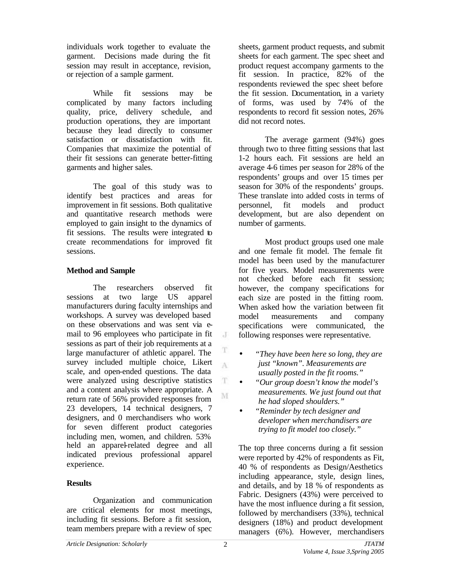individuals work together to evaluate the garment. Decisions made during the fit session may result in acceptance, revision, or rejection of a sample garment.

While fit sessions may be complicated by many factors including quality, price, delivery schedule, and production operations, they are important because they lead directly to consumer satisfaction or dissatisfaction with fit. Companies that maximize the potential of their fit sessions can generate better-fitting garments and higher sales.

The goal of this study was to identify best practices and areas for improvement in fit sessions. Both qualitative and quantitative research methods were employed to gain insight to the dynamics of fit sessions. The results were integrated to create recommendations for improved fit sessions.

## **Method and Sample**

The researchers observed fit sessions at two large US apparel manufacturers during faculty internships and workshops. A survey was developed based on these observations and was sent via email to 96 employees who participate in fit sessions as part of their job requirements at a large manufacturer of athletic apparel. The survey included multiple choice, Likert scale, and open-ended questions. The data were analyzed using descriptive statistics and a content analysis where appropriate. A return rate of 56% provided responses from 23 developers, 14 technical designers, 7 designers, and 0 merchandisers who work for seven different product categories including men, women, and children. 53% held an apparel-related degree and all indicated previous professional apparel experience.

# **Results**

Organization and communication are critical elements for most meetings, including fit sessions. Before a fit session, team members prepare with a review of spec sheets, garment product requests, and submit sheets for each garment. The spec sheet and product request accompany garments to the fit session. In practice, 82% of the respondents reviewed the spec sheet before the fit session. Documentation, in a variety of forms, was used by 74% of the respondents to record fit session notes, 26% did not record notes.

The average garment (94%) goes through two to three fitting sessions that last 1-2 hours each. Fit sessions are held an average 4-6 times per season for 28% of the respondents' groups and over 15 times per season for 30% of the respondents' groups. These translate into added costs in terms of personnel, fit models and product development, but are also dependent on number of garments.

Most product groups used one male and one female fit model. The female fit model has been used by the manufacturer for five years. Model measurements were not checked before each fit session; however, the company specifications for each size are posted in the fitting room. When asked how the variation between fit model measurements and company specifications were communicated, the following responses were representative.

- *"They have been here so long, they are just "known". Measurements are usually posted in the fit rooms."*
- *"Our group doesn't know the model's measurements. We just found out that he had sloped shoulders."*
- *"Reminder by tech designer and developer when merchandisers are trying to fit model too closely."*

The top three concerns during a fit session were reported by 42% of respondents as Fit, 40 % of respondents as Design/Aesthetics including appearance, style, design lines, and details, and by 18 % of respondents as Fabric. Designers (43%) were perceived to have the most influence during a fit session, followed by merchandisers (33%), technical designers (18%) and product development managers (6%). However, merchandisers

 $\cdot$ 

T A

T

M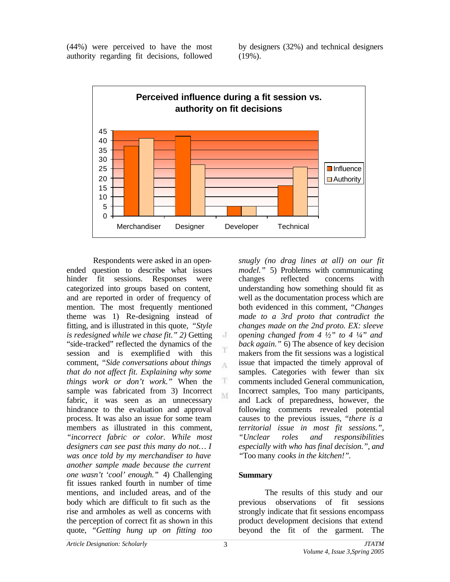(44%) were perceived to have the most authority regarding fit decisions, followed

by designers (32%) and technical designers (19%).



 $\cdot$ 

T A

T M

Respondents were asked in an openended question to describe what issues hinder fit sessions. Responses were categorized into groups based on content, and are reported in order of frequency of mention. The most frequently mentioned theme was 1) Re-designing instead of fitting, and is illustrated in this quote, *"Style is redesigned while we chase fit." 2)* Getting "side-tracked" reflected the dynamics of the session and is exemplified with this comment, *"Side conversations about things that do not affect fit. Explaining why some things work or don't work."* When the sample was fabricated from 3) Incorrect fabric, it was seen as an unnecessary hindrance to the evaluation and approval process. It was also an issue for some team members as illustrated in this comment, *"incorrect fabric or color. While most designers can see past this many do not… I was once told by my merchandiser to have another sample made because the current one wasn't 'cool' enough."* 4) Challenging fit issues ranked fourth in number of time mentions, and included areas, and of the body which are difficult to fit such as the rise and armholes as well as concerns with the perception of correct fit as shown in this quote, *"Getting hung up on fitting too*

*snugly (no drag lines at all) on our fit model."* 5) Problems with communicating changes reflected concerns with understanding how something should fit as well as the documentation process which are both evidenced in this comment*, "Changes made to a 3rd proto that contradict the changes made on the 2nd proto. EX: sleeve opening changed from 4 ½" to 4 ¼" and back again."* 6) The absence of key decision makers from the fit sessions was a logistical issue that impacted the timely approval of samples. Categories with fewer than six comments included General communication, Incorrect samples, Too many participants, and Lack of preparedness, however, the following comments revealed potential causes to the previous issues, *"there is a territorial issue in most fit sessions.", "Unclear roles and responsibilities especially with who has final decision.", and "*Too many *cooks in the kitchen!".*

## **Summary**

The results of this study and our previous observations of fit sessions strongly indicate that fit sessions encompass product development decisions that extend beyond the fit of the garment. The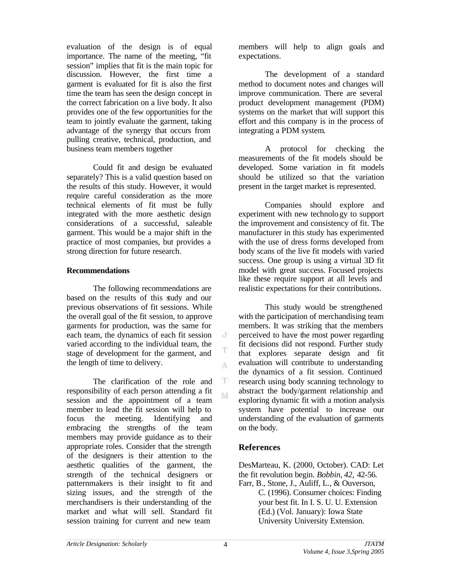evaluation of the design is of equal importance. The name of the meeting, "fit session" implies that fit is the main topic for discussion. However, the first time a garment is evaluated for fit is also the first time the team has seen the design concept in the correct fabrication on a live body. It also provides one of the few opportunities for the team to jointly evaluate the garment, taking advantage of the synergy that occurs from pulling creative, technical, production, and business team members together

Could fit and design be evaluated separately? This is a valid question based on the results of this study. However, it would require careful consideration as the more technical elements of fit must be fully integrated with the more aesthetic design considerations of a successful, saleable garment. This would be a major shift in the practice of most companies, but provides a strong direction for future research.

### **Recommendations**

The following recommendations are based on the results of this study and our previous observations of fit sessions. While the overall goal of the fit session, to approve garments for production, was the same for each team, the dynamics of each fit session varied according to the individual team, the stage of development for the garment, and the length of time to delivery.

The clarification of the role and responsibility of each person attending a fit session and the appointment of a team member to lead the fit session will help to focus the meeting. Identifying and embracing the strengths of the team members may provide guidance as to their appropriate roles. Consider that the strength of the designers is their attention to the aesthetic qualities of the garment, the strength of the technical designers or patternmakers is their insight to fit and sizing issues, and the strength of the merchandisers is their understanding of the market and what will sell. Standard fit session training for current and new team

members will help to align goals and expectations.

The development of a standard method to document notes and changes will improve communication. There are several product development management (PDM) systems on the market that will support this effort and this company is in the process of integrating a PDM system.

A protocol for checking the measurements of the fit models should be developed. Some variation in fit models should be utilized so that the variation present in the target market is represented.

Companies should explore and experiment with new technology to support the improvement and consistency of fit. The manufacturer in this study has experimented with the use of dress forms developed from body scans of the live fit models with varied success. One group is using a virtual 3D fit model with great success. Focused projects like these require support at all levels and realistic expectations for their contributions.

This study would be strengthened with the participation of merchandising team members. It was striking that the members perceived to have the most power regarding fit decisions did not respond. Further study that explores separate design and fit evaluation will contribute to understanding the dynamics of a fit session. Continued research using body scanning technology to abstract the body/garment relationship and exploring dynamic fit with a motion analysis system have potential to increase our understanding of the evaluation of garments on the body.

# **References**

DesMarteau, K. (2000, October). CAD: Let the fit revolution begin. *Bobbin, 42,* 42-56. Farr, B., Stone, J., Auliff, L., & Ouverson,

C. (1996). Consumer choices: Finding your best fit. In I. S. U. U. Extension (Ed.) (Vol. January): Iowa State University University Extension.

J

T A

T M